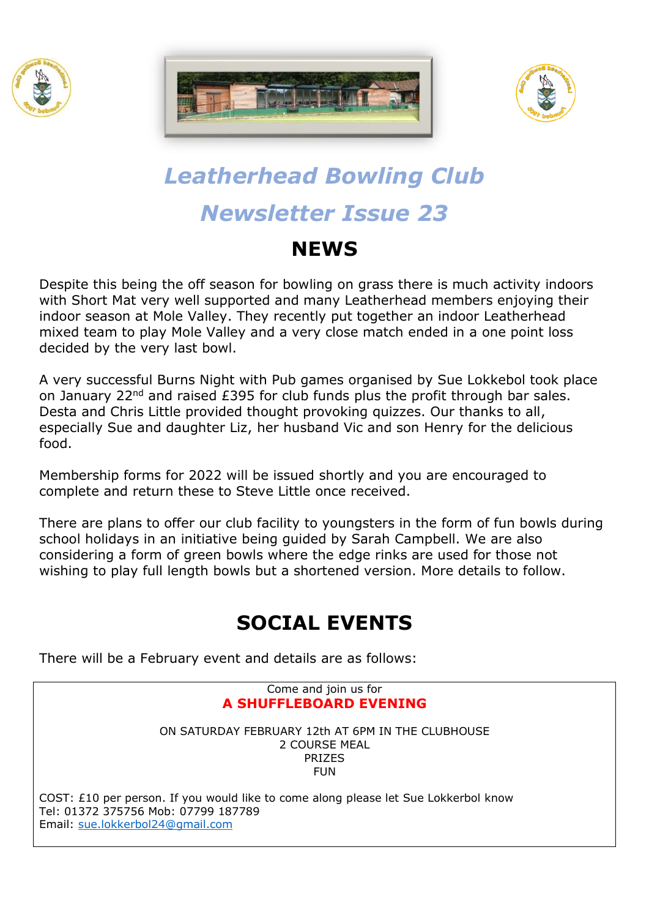





# *Leatherhead Bowling Club Newsletter Issue 23*

## **NEWS**

Despite this being the off season for bowling on grass there is much activity indoors with Short Mat very well supported and many Leatherhead members enjoying their indoor season at Mole Valley. They recently put together an indoor Leatherhead mixed team to play Mole Valley and a very close match ended in a one point loss decided by the very last bowl.

A very successful Burns Night with Pub games organised by Sue Lokkebol took place on January 22<sup>nd</sup> and raised £395 for club funds plus the profit through bar sales. Desta and Chris Little provided thought provoking quizzes. Our thanks to all, especially Sue and daughter Liz, her husband Vic and son Henry for the delicious food.

Membership forms for 2022 will be issued shortly and you are encouraged to complete and return these to Steve Little once received.

There are plans to offer our club facility to youngsters in the form of fun bowls during school holidays in an initiative being guided by Sarah Campbell. We are also considering a form of green bowls where the edge rinks are used for those not wishing to play full length bowls but a shortened version. More details to follow.

## **SOCIAL EVENTS**

There will be a February event and details are as follows:

#### Come and join us for **A SHUFFLEBOARD EVENING**

ON SATURDAY FEBRUARY 12th AT 6PM IN THE CLUBHOUSE 2 COURSE MEAL PRIZES FUN

COST: £10 per person. If you would like to come along please let Sue Lokkerbol know Tel: 01372 375756 Mob: 07799 187789 Email: [sue.lokkerbol24@gmail.com](mailto:sue.lokkerbol24@gmail.com)